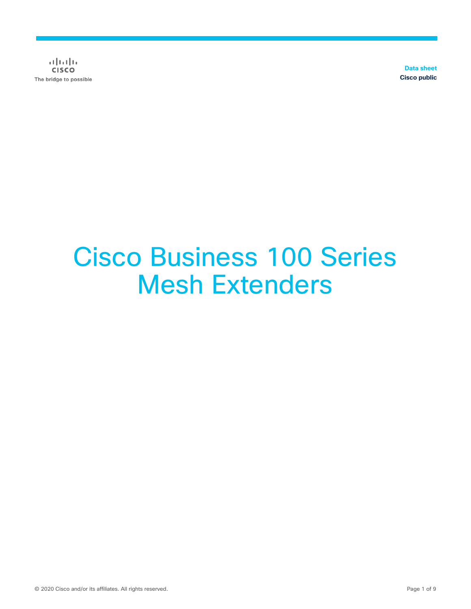$\frac{1}{2}$  and  $\frac{1}{2}$ **CISCO** The bridge to possible

**Data sheet Cisco public**

# Cisco Business 100 Series Mesh Extenders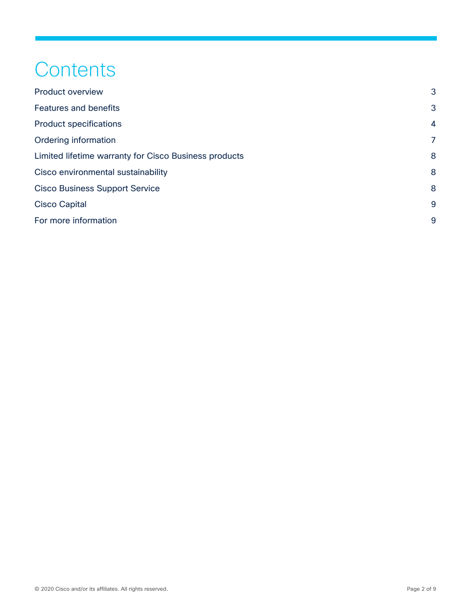# **Contents**

| <b>Product overview</b>                               | 3              |
|-------------------------------------------------------|----------------|
| <b>Features and benefits</b>                          | 3              |
| <b>Product specifications</b>                         | $\overline{4}$ |
| Ordering information                                  | 7              |
| Limited lifetime warranty for Cisco Business products | 8              |
| Cisco environmental sustainability                    | 8              |
| <b>Cisco Business Support Service</b>                 | 8              |
| <b>Cisco Capital</b>                                  | 9              |
| For more information                                  | 9              |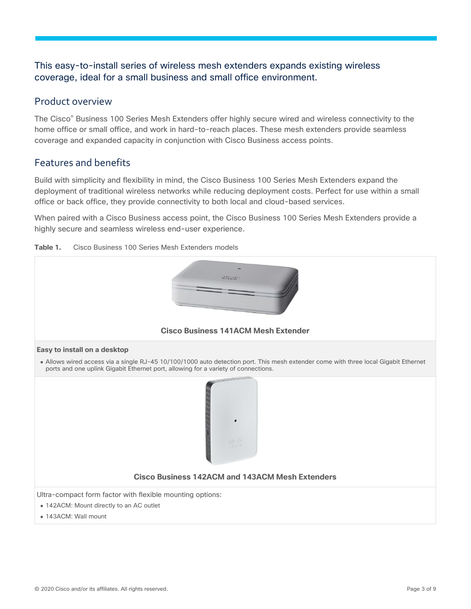#### This easy-to-install series of wireless mesh extenders expands existing wireless coverage, ideal for a small business and small office environment.

#### <span id="page-2-0"></span>Product overview

The Cisco® Business 100 Series Mesh Extenders offer highly secure wired and wireless connectivity to the home office or small office, and work in hard-to-reach places. These mesh extenders provide seamless coverage and expanded capacity in conjunction with Cisco Business access points.

#### <span id="page-2-1"></span>Features and benefits

Build with simplicity and flexibility in mind, the Cisco Business 100 Series Mesh Extenders expand the deployment of traditional wireless networks while reducing deployment costs. Perfect for use within a small office or back office, they provide connectivity to both local and cloud-based services.

When paired with a Cisco Business access point, the Cisco Business 100 Series Mesh Extenders provide a highly secure and seamless wireless end-user experience.



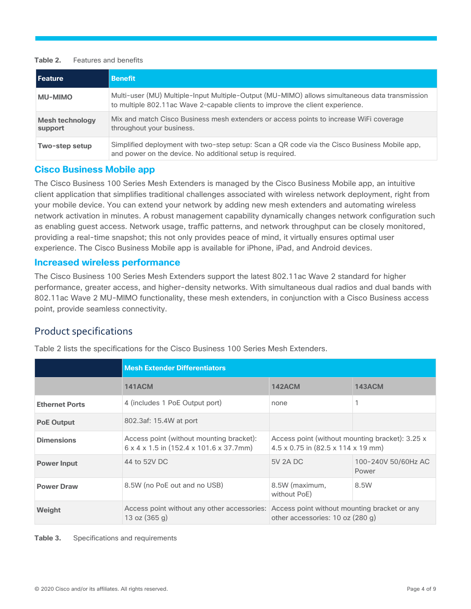#### **Table 2.** Features and benefits

| l Feature                         | <b>Benefit</b>                                                                                                                                                                  |
|-----------------------------------|---------------------------------------------------------------------------------------------------------------------------------------------------------------------------------|
| <b>MU-MIMO</b>                    | Multi-user (MU) Multiple-Input Multiple-Output (MU-MIMO) allows simultaneous data transmission<br>to multiple 802.11ac Wave 2-capable clients to improve the client experience. |
| <b>Mesh technology</b><br>support | Mix and match Cisco Business mesh extenders or access points to increase WiFi coverage<br>throughout your business.                                                             |
| Two-step setup                    | Simplified deployment with two-step setup: Scan a QR code via the Cisco Business Mobile app,<br>and power on the device. No additional setup is required.                       |

#### **Cisco Business Mobile app**

The Cisco Business 100 Series Mesh Extenders is managed by the Cisco Business Mobile app, an intuitive client application that simplifies traditional challenges associated with wireless network deployment, right from your mobile device. You can extend your network by adding new mesh extenders and automating wireless network activation in minutes. A robust management capability dynamically changes network configuration such as enabling guest access. Network usage, traffic patterns, and network throughput can be closely monitored, providing a real-time snapshot; this not only provides peace of mind, it virtually ensures optimal user experience. The Cisco Business Mobile app is available for iPhone, iPad, and Android devices.

#### **Increased wireless performance**

The Cisco Business 100 Series Mesh Extenders support the latest 802.11ac Wave 2 standard for higher performance, greater access, and higher-density networks. With simultaneous dual radios and dual bands with 802.11ac Wave 2 MU-MIMO functionality, these mesh extenders, in conjunction with a Cisco Business access point, provide seamless connectivity.

#### <span id="page-3-0"></span>Product specifications

|                       | <b>Mesh Extender Differentiators</b>                                                            |                                                                                                                              |                              |
|-----------------------|-------------------------------------------------------------------------------------------------|------------------------------------------------------------------------------------------------------------------------------|------------------------------|
|                       | <b>141ACM</b>                                                                                   | <b>142ACM</b>                                                                                                                | <b>143ACM</b>                |
| <b>Ethernet Ports</b> | 4 (includes 1 PoE Output port)                                                                  | none                                                                                                                         |                              |
| <b>PoE Output</b>     | 802.3af: 15.4W at port                                                                          |                                                                                                                              |                              |
| <b>Dimensions</b>     | Access point (without mounting bracket):<br>$6 \times 4 \times 1.5$ in (152.4 x 101.6 x 37.7mm) | Access point (without mounting bracket): 3.25 x<br>$4.5 \times 0.75$ in $(82.5 \times 114 \times 19$ mm)                     |                              |
| <b>Power Input</b>    | 44 to 52V DC                                                                                    | 5V 2A DC                                                                                                                     | 100-240V 50/60Hz AC<br>Power |
| <b>Power Draw</b>     | 8.5W (no PoE out and no USB)                                                                    | 8.5W (maximum,<br>without PoE)                                                                                               | 8.5W                         |
| Weight                | 13 oz $(365 g)$                                                                                 | Access point without any other accessories: Access point without mounting bracket or any<br>other accessories: 10 oz (280 g) |                              |

Table 2 lists the specifications for the Cisco Business 100 Series Mesh Extenders.

**Table 3.** Specifications and requirements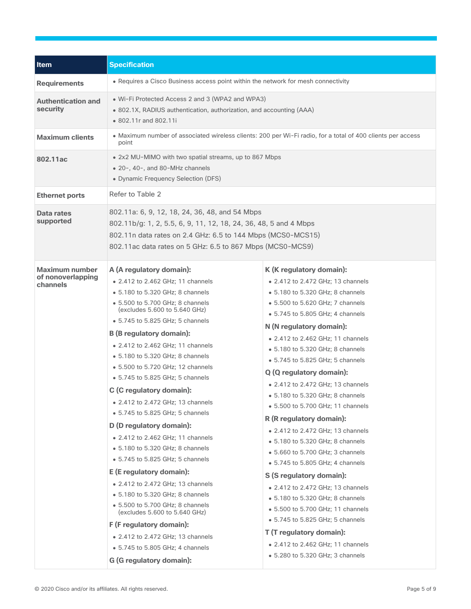| Item                                                   | <b>Specification</b>                                                                                                                                                                                                                                                                                                                                                                                                                                                                                                                                                                                                                                                                                                                                                                                                                                |                                                                                                                                                                                                                                                                                                                                                                                                                                                                                                                                                                                                                                                                                                                                                                                                                         |  |
|--------------------------------------------------------|-----------------------------------------------------------------------------------------------------------------------------------------------------------------------------------------------------------------------------------------------------------------------------------------------------------------------------------------------------------------------------------------------------------------------------------------------------------------------------------------------------------------------------------------------------------------------------------------------------------------------------------------------------------------------------------------------------------------------------------------------------------------------------------------------------------------------------------------------------|-------------------------------------------------------------------------------------------------------------------------------------------------------------------------------------------------------------------------------------------------------------------------------------------------------------------------------------------------------------------------------------------------------------------------------------------------------------------------------------------------------------------------------------------------------------------------------------------------------------------------------------------------------------------------------------------------------------------------------------------------------------------------------------------------------------------------|--|
| <b>Requirements</b>                                    | • Requires a Cisco Business access point within the network for mesh connectivity                                                                                                                                                                                                                                                                                                                                                                                                                                                                                                                                                                                                                                                                                                                                                                   |                                                                                                                                                                                                                                                                                                                                                                                                                                                                                                                                                                                                                                                                                                                                                                                                                         |  |
| <b>Authentication and</b><br>security                  | • Wi-Fi Protected Access 2 and 3 (WPA2 and WPA3)<br>· 802.1X, RADIUS authentication, authorization, and accounting (AAA)<br>• 802.11r and 802.11i                                                                                                                                                                                                                                                                                                                                                                                                                                                                                                                                                                                                                                                                                                   |                                                                                                                                                                                                                                                                                                                                                                                                                                                                                                                                                                                                                                                                                                                                                                                                                         |  |
| <b>Maximum clients</b>                                 | point                                                                                                                                                                                                                                                                                                                                                                                                                                                                                                                                                                                                                                                                                                                                                                                                                                               | • Maximum number of associated wireless clients: 200 per Wi-Fi radio, for a total of 400 clients per access                                                                                                                                                                                                                                                                                                                                                                                                                                                                                                                                                                                                                                                                                                             |  |
| 802.11ac                                               | . 2x2 MU-MIMO with two spatial streams, up to 867 Mbps<br>• 20-, 40-, and 80-MHz channels<br>• Dynamic Frequency Selection (DFS)                                                                                                                                                                                                                                                                                                                                                                                                                                                                                                                                                                                                                                                                                                                    |                                                                                                                                                                                                                                                                                                                                                                                                                                                                                                                                                                                                                                                                                                                                                                                                                         |  |
| <b>Ethernet ports</b>                                  | Refer to Table 2                                                                                                                                                                                                                                                                                                                                                                                                                                                                                                                                                                                                                                                                                                                                                                                                                                    |                                                                                                                                                                                                                                                                                                                                                                                                                                                                                                                                                                                                                                                                                                                                                                                                                         |  |
| Data rates<br>supported                                | 802.11a: 6, 9, 12, 18, 24, 36, 48, and 54 Mbps<br>802.11b/g: 1, 2, 5.5, 6, 9, 11, 12, 18, 24, 36, 48, 5 and 4 Mbps<br>802.11n data rates on 2.4 GHz: 6.5 to 144 Mbps (MCS0-MCS15)<br>802.11ac data rates on 5 GHz: 6.5 to 867 Mbps (MCS0-MCS9)                                                                                                                                                                                                                                                                                                                                                                                                                                                                                                                                                                                                      |                                                                                                                                                                                                                                                                                                                                                                                                                                                                                                                                                                                                                                                                                                                                                                                                                         |  |
| <b>Maximum number</b><br>of nonoverlapping<br>channels | A (A regulatory domain):<br>• 2.412 to 2.462 GHz; 11 channels<br>• 5.180 to 5.320 GHz; 8 channels<br>• 5.500 to 5.700 GHz; 8 channels<br>(excludes 5.600 to 5.640 GHz)<br>• 5.745 to 5.825 GHz; 5 channels<br><b>B</b> (B regulatory domain):<br>• 2.412 to 2.462 GHz; 11 channels<br>• 5.180 to 5.320 GHz; 8 channels<br>• 5.500 to 5.720 GHz; 12 channels<br>• 5.745 to 5.825 GHz; 5 channels<br>C (C regulatory domain):<br>• 2.412 to 2.472 GHz; 13 channels<br>• 5.745 to 5.825 GHz; 5 channels<br>D (D regulatory domain):<br>• 2.412 to 2.462 GHz; 11 channels<br>• 5.180 to 5.320 GHz; 8 channels<br>• 5.745 to 5.825 GHz; 5 channels<br>E (E regulatory domain):<br>• 2.412 to 2.472 GHz; 13 channels<br>• 5.180 to 5.320 GHz; 8 channels<br>• 5.500 to 5.700 GHz; 8 channels<br>(excludes 5.600 to 5.640 GHz)<br>F (F regulatory domain): | K (K regulatory domain):<br>• 2.412 to 2.472 GHz; 13 channels<br>• 5.180 to 5.320 GHz; 8 channels<br>• 5.500 to 5.620 GHz; 7 channels<br>• 5.745 to 5.805 GHz; 4 channels<br>N (N regulatory domain):<br>• 2.412 to 2.462 GHz; 11 channels<br>• 5.180 to 5.320 GHz; 8 channels<br>• 5.745 to 5.825 GHz; 5 channels<br>Q (Q regulatory domain):<br>• 2.412 to 2.472 GHz; 13 channels<br>• 5.180 to 5.320 GHz; 8 channels<br>• 5.500 to 5.700 GHz; 11 channels<br>R (R regulatory domain):<br>• 2.412 to 2.472 GHz; 13 channels<br>• 5.180 to 5.320 GHz; 8 channels<br>• 5.660 to 5.700 GHz; 3 channels<br>• 5.745 to 5.805 GHz; 4 channels<br>S (S regulatory domain):<br>• 2.412 to 2.472 GHz; 13 channels<br>• 5.180 to 5.320 GHz; 8 channels<br>• 5.500 to 5.700 GHz; 11 channels<br>• 5.745 to 5.825 GHz; 5 channels |  |
|                                                        | • 2.412 to 2.472 GHz; 13 channels<br>• 5.745 to 5.805 GHz; 4 channels<br>G (G regulatory domain):                                                                                                                                                                                                                                                                                                                                                                                                                                                                                                                                                                                                                                                                                                                                                   | T (T regulatory domain):<br>• 2.412 to 2.462 GHz; 11 channels<br>• 5.280 to 5.320 GHz; 3 channels                                                                                                                                                                                                                                                                                                                                                                                                                                                                                                                                                                                                                                                                                                                       |  |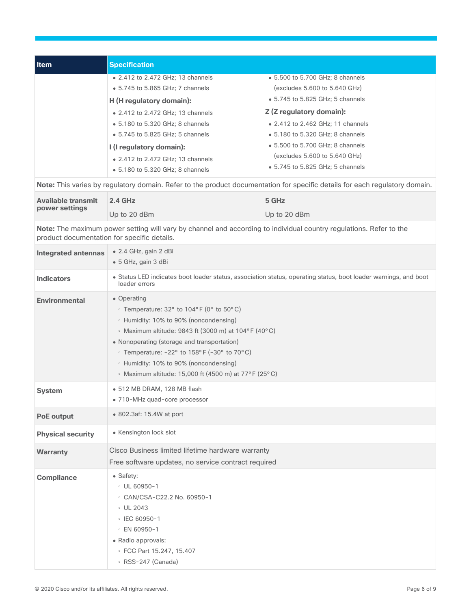| <b>Item</b> | <b>Specification</b>              |                                                            |
|-------------|-----------------------------------|------------------------------------------------------------|
|             | • 2.412 to 2.472 GHz; 13 channels | • 5.500 to 5.700 GHz; 8 channels                           |
|             | • 5.745 to 5.865 GHz; 7 channels  | $\left(\frac{\text{excludes}}{5.600}\right)$ to 5.640 GHz) |
|             | H (H regulatory domain):          | • 5.745 to 5.825 GHz; 5 channels                           |
|             | • 2.412 to 2.472 GHz; 13 channels | Z (Z regulatory domain):                                   |
|             | • 5.180 to 5.320 GHz; 8 channels  | • 2.412 to 2.462 GHz; 11 channels                          |
|             | • 5.745 to 5.825 GHz; 5 channels  | • 5.180 to 5.320 GHz; 8 channels                           |
|             | I (I regulatory domain):          | • 5.500 to 5.700 GHz; 8 channels                           |
|             | • 2.412 to 2.472 GHz; 13 channels | (excludes 5.600 to 5.640 GHz)                              |
|             | • 5.180 to 5.320 GHz; 8 channels  | • 5.745 to 5.825 GHz; 5 channels                           |

**Note:** This varies by regulatory domain. Refer to the product documentation for specific details for each regulatory domain.

| <b>Available transmit</b><br>power settings | $2.4$ GHz    | 5 GHz        |
|---------------------------------------------|--------------|--------------|
|                                             | Up to 20 dBm | Up to 20 dBm |

**Note:** The maximum power setting will vary by channel and according to individual country regulations. Refer to the product documentation for specific details.

| <b>Integrated antennas</b> | $\bullet$ 2.4 GHz, gain 2 dBi<br>• 5 GHz, gain 3 dBi                                                                                                                                                                                                                                                                                                                          |
|----------------------------|-------------------------------------------------------------------------------------------------------------------------------------------------------------------------------------------------------------------------------------------------------------------------------------------------------------------------------------------------------------------------------|
| <b>Indicators</b>          | • Status LED indicates boot loader status, association status, operating status, boot loader warnings, and boot<br>loader errors                                                                                                                                                                                                                                              |
| <b>Environmental</b>       | • Operating<br>• Temperature: 32° to 104°F (0° to 50°C)<br>• Humidity: 10% to 90% (noncondensing)<br>• Maximum altitude: 9843 ft (3000 m) at 104°F (40°C)<br>• Nonoperating (storage and transportation)<br>• Temperature: $-22^{\circ}$ to 158°F ( $-30^{\circ}$ to 70°C)<br>• Humidity: 10% to 90% (noncondensing)<br>• Maximum altitude: 15,000 ft (4500 m) at 77°F (25°C) |
| <b>System</b>              | · 512 MB DRAM, 128 MB flash<br>• 710-MHz quad-core processor                                                                                                                                                                                                                                                                                                                  |
| <b>PoE output</b>          | • 802.3af: 15.4W at port                                                                                                                                                                                                                                                                                                                                                      |
| <b>Physical security</b>   | • Kensington lock slot                                                                                                                                                                                                                                                                                                                                                        |
| <b>Warranty</b>            | Cisco Business limited lifetime hardware warranty<br>Free software updates, no service contract required                                                                                                                                                                                                                                                                      |
| <b>Compliance</b>          | • Safety:<br>$\circ$ UL 60950-1<br>© CAN/CSA-C22.2 No. 60950-1<br>$\circ$ UL 2043<br>$\circ$ IEC 60950-1<br>○ EN 60950-1<br>• Radio approvals:<br>◦ FCC Part 15.247, 15.407<br>∘ RSS-247 (Canada)                                                                                                                                                                             |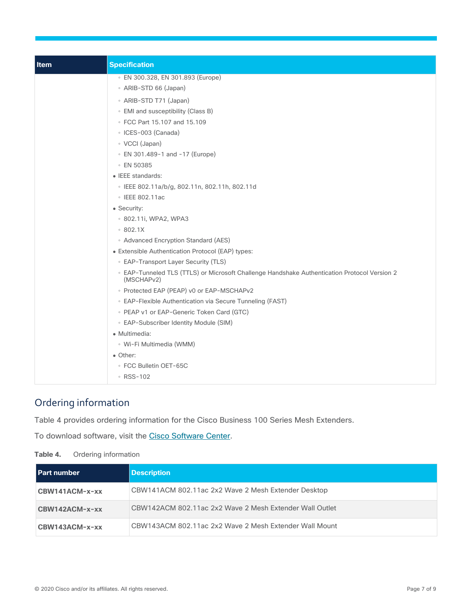| <b>Item</b> | <b>Specification</b>                                                                                                    |
|-------------|-------------------------------------------------------------------------------------------------------------------------|
|             | ⊙ EN 300.328, EN 301.893 (Europe)                                                                                       |
|             | • ARIB-STD 66 (Japan)                                                                                                   |
|             | • ARIB-STD T71 (Japan)                                                                                                  |
|             | • EMI and susceptibility (Class B)                                                                                      |
|             | ○ FCC Part 15.107 and 15.109                                                                                            |
|             | · ICES-003 (Canada)                                                                                                     |
|             | ∘ VCCI (Japan)                                                                                                          |
|             | ◦ EN 301.489-1 and -17 (Europe)                                                                                         |
|             | ○ EN 50385                                                                                                              |
|             | • IEEE standards:                                                                                                       |
|             | $\cdot$ IEEE 802.11a/b/g, 802.11n, 802.11h, 802.11d                                                                     |
|             | ∘ IEEE 802.11ac                                                                                                         |
|             | • Security:                                                                                                             |
|             | ○ 802.11i, WPA2, WPA3                                                                                                   |
|             | 802.1X                                                                                                                  |
|             | • Advanced Encryption Standard (AES)                                                                                    |
|             | • Extensible Authentication Protocol (EAP) types:                                                                       |
|             | • EAP-Transport Layer Security (TLS)                                                                                    |
|             | ○ EAP-Tunneled TLS (TTLS) or Microsoft Challenge Handshake Authentication Protocol Version 2<br>(MSCHAP <sub>v2</sub> ) |
|             | • Protected EAP (PEAP) v0 or EAP-MSCHAPv2                                                                               |
|             | • EAP-Flexible Authentication via Secure Tunneling (FAST)                                                               |
|             | • PEAP v1 or EAP-Generic Token Card (GTC)                                                                               |
|             | • EAP-Subscriber Identity Module (SIM)                                                                                  |
|             | • Multimedia:                                                                                                           |
|             | • Wi-Fi Multimedia (WMM)                                                                                                |
|             | • Other:                                                                                                                |
|             | ○ FCC Bulletin OET-65C                                                                                                  |
|             | ∘ RSS-102                                                                                                               |

# <span id="page-6-0"></span>Ordering information

Table 4 provides ordering information for the Cisco Business 100 Series Mesh Extenders.

To download software, visit the [Cisco Software Center.](https://software.cisco.com/download/navigator.html)

| able 4.<br>Ordering information |                                                         |  |
|---------------------------------|---------------------------------------------------------|--|
| Part number                     | <b>Description</b>                                      |  |
| CBW141ACM-x-xx                  | CBW141ACM 802.11ac 2x2 Wave 2 Mesh Extender Desktop     |  |
| CBW142ACM-x-xx                  | CBW142ACM 802.11ac 2x2 Wave 2 Mesh Extender Wall Outlet |  |
| CBW143ACM-x-xx                  | CBW143ACM 802.11ac 2x2 Wave 2 Mesh Extender Wall Mount  |  |
|                                 |                                                         |  |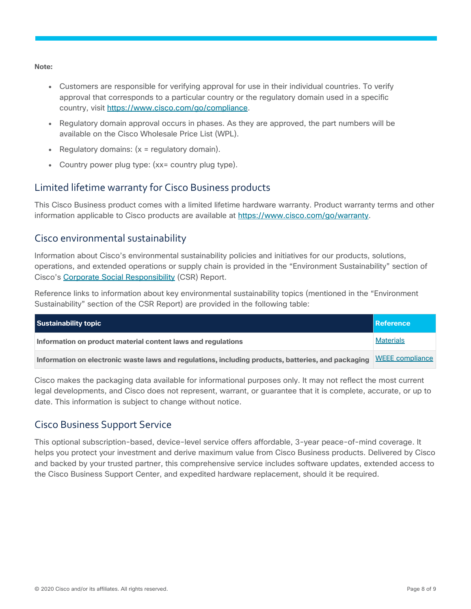**Note:** 

- Customers are responsible for verifying approval for use in their individual countries. To verify approval that corresponds to a particular country or the regulatory domain used in a specific country, visit [https://www.cisco.com/go/compliance.](https://www.cisco.com/go/compliance)
- Regulatory domain approval occurs in phases. As they are approved, the part numbers will be available on the Cisco Wholesale Price List (WPL).
- Regulatory domains:  $(x =$  regulatory domain).
- Country power plug type: (xx= country plug type).

#### <span id="page-7-0"></span>Limited lifetime warranty for Cisco Business products

This Cisco Business product comes with a limited lifetime hardware warranty. Product warranty terms and other information applicable to Cisco products are available at [https://www.cisco.com/go/warranty.](https://www.cisco.com/go/warranty)

#### <span id="page-7-1"></span>Cisco environmental sustainability

Information about Cisco's environmental sustainability policies and initiatives for our products, solutions, operations, and extended operations or supply chain is provided in the "Environment Sustainability" section of Cisco's [Corporate Social Responsibility](https://www-1.compliance2product.com/c2p/getAttachment.do?code=YM6Y0yThdO6Wj1FxxYPYfUG2dtFkTeFWGpzLRO8tcURFEifUCRV403Tq2ZMWP6Ai) (CSR) Report.

Reference links to information about key environmental sustainability topics (mentioned in the "Environment Sustainability" section of the CSR Report) are provided in the following table:

| Sustainability topic                                                                                               | Reference        |
|--------------------------------------------------------------------------------------------------------------------|------------------|
| Information on product material content laws and regulations                                                       | <b>Materials</b> |
| Information on electronic waste laws and regulations, including products, batteries, and packaging WEEE compliance |                  |

Cisco makes the packaging data available for informational purposes only. It may not reflect the most current legal developments, and Cisco does not represent, warrant, or guarantee that it is complete, accurate, or up to date. This information is subject to change without notice.

### <span id="page-7-2"></span>Cisco Business Support Service

This optional subscription-based, device-level service offers affordable, 3-year peace-of-mind coverage. It helps you protect your investment and derive maximum value from Cisco Business products. Delivered by Cisco and backed by your trusted partner, this comprehensive service includes software updates, extended access to the Cisco Business Support Center, and expedited hardware replacement, should it be required.